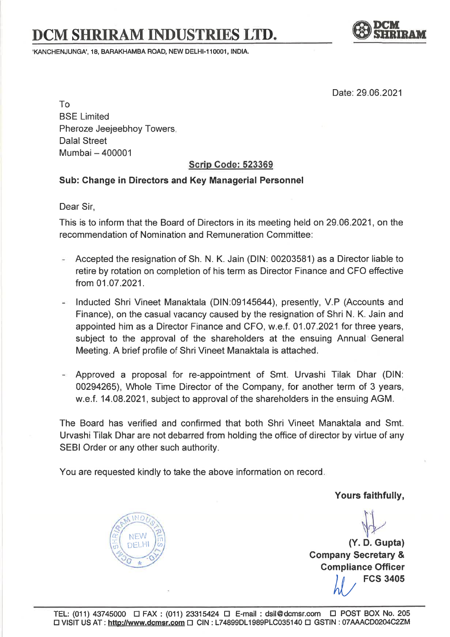## DCM SHRIRAM INDUSTRIES LTD.

'KANCHENJUNGA', 18, BARAKHAMBA ROAD, NEW DELHI-110001, INDIA.



Date: 29.06.2021

To BSE Limited Pheroze Jeejeebhoy Towers, Dalal Street Mumbai - <sup>400001</sup>

## Scrip Code: <sup>523369</sup>

## Sub: Change in Directors and Key Managerial Personnel

Dear Sir,

This is to inform that the Board of Directors in its meeting held on 29.06.2021, on the recommendation of Nomination and Remuneration Committee:

- Accepted the resignation of Sh. N. K. Jain (DlN: 00203581) as a Director liable to retire by rotation on completion of his term as Director Finance and CFO effective from 01 .07.2021.
- lnducted Shri Vineet Manaktala (DlN:09145644), presently, V.P (Accounts and Finance), on the casual vacancy caused by the resignation of Shri N. K. Jain and appointed him as a Director Finance and CFO, w.e.f. 01,07.2021 for three years, subject to the approval of the shareholders at the ensuing Annual General Meeting. A brief profile of Shri Vineet Manaktala is attached.
- Approved a proposal for re-appointment of Smt. Urvashi Tilak Dhar (DlN: 00294265), Whole Time Director of the Company, for another term of 3 years, w.e.f. 14.08.2021, subject to approval of the shareholders in the ensuing AGM.

The Board has verified and confirmed that both Shri Vineet Manaktala and Smt. Urvashi Tilak Dhar are not debarred from holding the office of director by virtue of any SEBI Order or any other such authority.

You are requested kindly to take the above information on record

Yours faithfully,



(Y. D.Gupta) Company Secretary & Compliance Officer **FCS 3405**